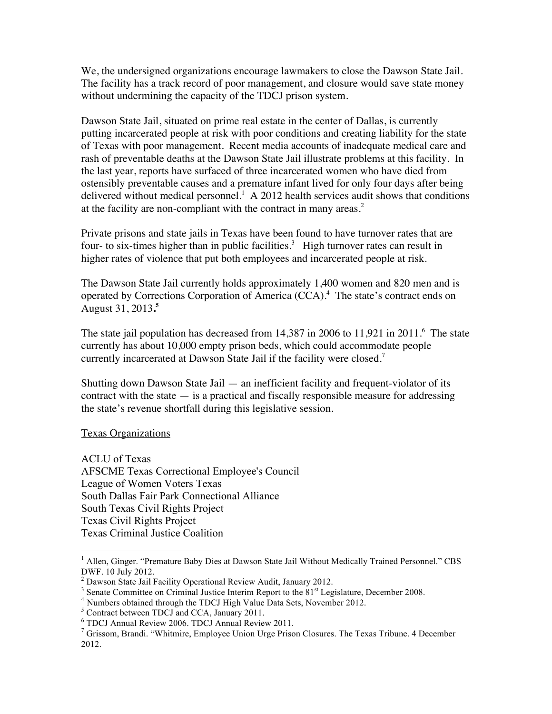We, the undersigned organizations encourage lawmakers to close the Dawson State Jail. The facility has a track record of poor management, and closure would save state money without undermining the capacity of the TDCJ prison system.

Dawson State Jail, situated on prime real estate in the center of Dallas, is currently putting incarcerated people at risk with poor conditions and creating liability for the state of Texas with poor management. Recent media accounts of inadequate medical care and rash of preventable deaths at the Dawson State Jail illustrate problems at this facility. In the last year, reports have surfaced of three incarcerated women who have died from ostensibly preventable causes and a premature infant lived for only four days after being delivered without medical personnel.<sup>1</sup> A 2012 health services audit shows that conditions at the facility are non-compliant with the contract in many areas.<sup>2</sup>

Private prisons and state jails in Texas have been found to have turnover rates that are four- to six-times higher than in public facilities.<sup>3</sup> High turnover rates can result in higher rates of violence that put both employees and incarcerated people at risk.

The Dawson State Jail currently holds approximately 1,400 women and 820 men and is operated by Corrections Corporation of America (CCA).4 The state's contract ends on August 31, 2013**. 5**

The state jail population has decreased from 14,387 in 2006 to 11,921 in 2011. <sup>6</sup> The state currently has about 10,000 empty prison beds, which could accommodate people currently incarcerated at Dawson State Jail if the facility were closed.<sup>7</sup>

Shutting down Dawson State Jail — an inefficient facility and frequent-violator of its contract with the state  $-\dot{a}$  is a practical and fiscally responsible measure for addressing the state's revenue shortfall during this legislative session.

## Texas Organizations

ACLU of Texas AFSCME Texas Correctional Employee's Council League of Women Voters Texas South Dallas Fair Park Connectional Alliance South Texas Civil Rights Project Texas Civil Rights Project Texas Criminal Justice Coalition

 $\frac{1}{1}$ <sup>1</sup> Allen, Ginger. "Premature Baby Dies at Dawson State Jail Without Medically Trained Personnel." CBS DWF. 10 July 2012.

 $2$  Dawson State Jail Facility Operational Review Audit, January 2012.

<sup>&</sup>lt;sup>3</sup> Senate Committee on Criminal Justice Interim Report to the  $81<sup>st</sup>$  Legislature, December 2008.  $4$  Numbers obtained through the TDCJ High Value Data Sets, November 2012.

 $^5$  Contract between TDCJ and CCA, January 2011.<br> $^6$  TDCJ Annual Review 2006. TDCJ Annual Review 2011.

 $\frac{1}{2}$  Grissom, Brandi. "Whitmire, Employee Union Urge Prison Closures. The Texas Tribune. 4 December 2012.